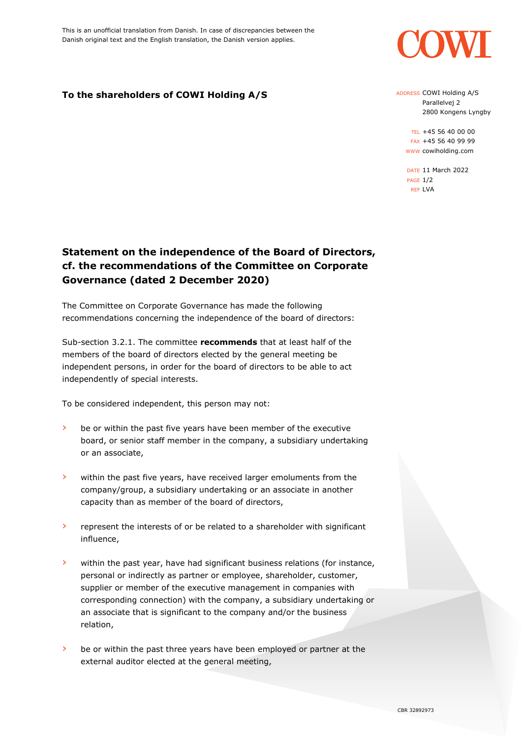

## **To the shareholders of COWI Holding A/S**

ADDRESS COWI Holding A/S Parallelvej 2 2800 Kongens Lyngby

TEL +45 56 40 00 00 FAX +45 56 40 99 99 WWW cowiholding.com

DATE 11 March 2022 PAGE 1/2 REF LVA

## **Statement on the independence of the Board of Directors, cf. the recommendations of the Committee on Corporate Governance (dated 2 December 2020)**

The Committee on Corporate Governance has made the following recommendations concerning the independence of the board of directors:

Sub-section 3.2.1. The committee **recommends** that at least half of the members of the board of directors elected by the general meeting be independent persons, in order for the board of directors to be able to act independently of special interests.

To be considered independent, this person may not:

- be or within the past five years have been member of the executive board, or senior staff member in the company, a subsidiary undertaking or an associate,
- › within the past five years, have received larger emoluments from the company/group, a subsidiary undertaking or an associate in another capacity than as member of the board of directors,
- › represent the interests of or be related to a shareholder with significant influence,
- › within the past year, have had significant business relations (for instance, personal or indirectly as partner or employee, shareholder, customer, supplier or member of the executive management in companies with corresponding connection) with the company, a subsidiary undertaking or an associate that is significant to the company and/or the business relation,
- › be or within the past three years have been employed or partner at the external auditor elected at the general meeting,